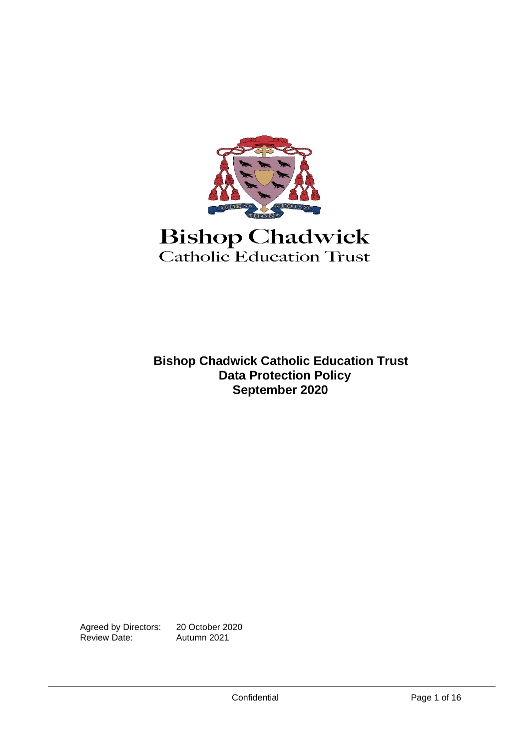

# **Bishop Chadwick** Catholic Education Trust

**Bishop Chadwick Catholic Education Trust Data Protection Policy September 2020**

Agreed by Directors: 20 October 2020<br>Review Date: Autumn 2021 Review Date: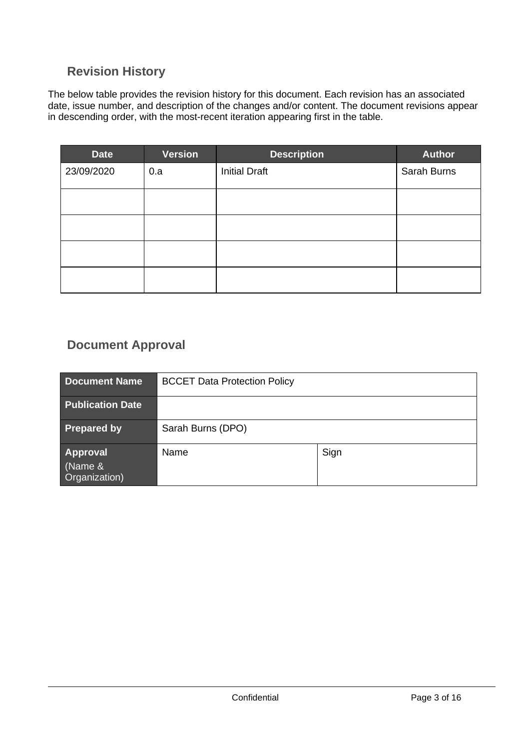# <span id="page-2-0"></span>**Revision History**

The below table provides the revision history for this document. Each revision has an associated date, issue number, and description of the changes and/or content. The document revisions appear in descending order, with the most-recent iteration appearing first in the table.

| <b>Date</b> | <b>Version</b> | <b>Description</b>   | <b>Author</b> |
|-------------|----------------|----------------------|---------------|
| 23/09/2020  | 0.a            | <b>Initial Draft</b> | Sarah Burns   |
|             |                |                      |               |
|             |                |                      |               |
|             |                |                      |               |
|             |                |                      |               |

# <span id="page-2-1"></span>**Document Approval**

| <b>Document Name</b>                        | <b>BCCET Data Protection Policy</b> |      |
|---------------------------------------------|-------------------------------------|------|
| <b>Publication Date</b>                     |                                     |      |
| <b>Prepared by</b>                          | Sarah Burns (DPO)                   |      |
| <b>Approval</b><br>(Name &<br>Organization) | Name                                | Sign |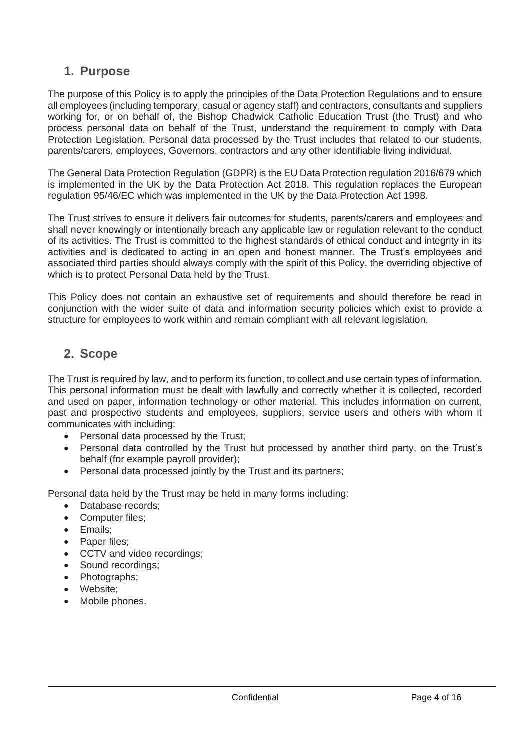# <span id="page-3-0"></span>**1. Purpose**

The purpose of this Policy is to apply the principles of the Data Protection Regulations and to ensure all employees (including temporary, casual or agency staff) and contractors, consultants and suppliers working for, or on behalf of, the Bishop Chadwick Catholic Education Trust (the Trust) and who process personal data on behalf of the Trust, understand the requirement to comply with Data Protection Legislation. Personal data processed by the Trust includes that related to our students, parents/carers, employees, Governors, contractors and any other identifiable living individual.

The General Data Protection Regulation (GDPR) is the EU Data Protection regulation 2016/679 which is implemented in the UK by the Data Protection Act 2018. This regulation replaces the European regulation 95/46/EC which was implemented in the UK by the Data Protection Act 1998.

The Trust strives to ensure it delivers fair outcomes for students, parents/carers and employees and shall never knowingly or intentionally breach any applicable law or regulation relevant to the conduct of its activities. The Trust is committed to the highest standards of ethical conduct and integrity in its activities and is dedicated to acting in an open and honest manner. The Trust's employees and associated third parties should always comply with the spirit of this Policy, the overriding objective of which is to protect Personal Data held by the Trust.

This Policy does not contain an exhaustive set of requirements and should therefore be read in conjunction with the wider suite of data and information security policies which exist to provide a structure for employees to work within and remain compliant with all relevant legislation.

# <span id="page-3-1"></span>**2. Scope**

The Trust is required by law, and to perform its function, to collect and use certain types of information. This personal information must be dealt with lawfully and correctly whether it is collected, recorded and used on paper, information technology or other material. This includes information on current, past and prospective students and employees, suppliers, service users and others with whom it communicates with including:

- Personal data processed by the Trust;
- Personal data controlled by the Trust but processed by another third party, on the Trust's behalf (for example payroll provider);
- Personal data processed jointly by the Trust and its partners;

Personal data held by the Trust may be held in many forms including:

- Database records;
- Computer files;
- Emails;
- Paper files;
- CCTV and video recordings;
- Sound recordings;
- Photographs;
- Website;
- Mobile phones.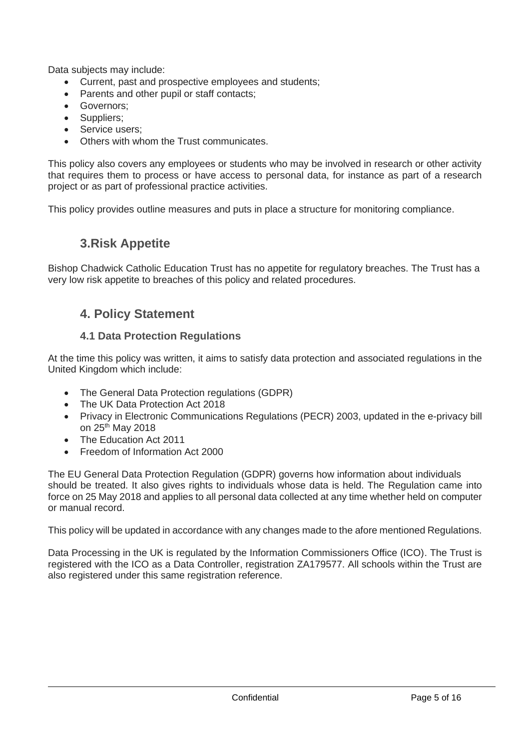Data subjects may include:

- Current, past and prospective employees and students;
- Parents and other pupil or staff contacts:
- Governors;
- Suppliers:
- Service users;
- Others with whom the Trust communicates.

This policy also covers any employees or students who may be involved in research or other activity that requires them to process or have access to personal data, for instance as part of a research project or as part of professional practice activities.

<span id="page-4-0"></span>This policy provides outline measures and puts in place a structure for monitoring compliance.

# **3.Risk Appetite**

<span id="page-4-1"></span>Bishop Chadwick Catholic Education Trust has no appetite for regulatory breaches. The Trust has a very low risk appetite to breaches of this policy and related procedures.

# **4. Policy Statement**

### **4.1 Data Protection Regulations**

<span id="page-4-2"></span>At the time this policy was written, it aims to satisfy data protection and associated regulations in the United Kingdom which include:

- The General Data Protection regulations (GDPR)
- The UK Data Protection Act 2018
- Privacy in Electronic Communications Regulations (PECR) 2003, updated in the e-privacy bill on 25th May 2018
- The Education Act 2011
- Freedom of Information Act 2000

The EU General Data Protection Regulation (GDPR) governs how information about individuals should be treated. It also gives rights to individuals whose data is held. The Regulation came into force on 25 May 2018 and applies to all personal data collected at any time whether held on computer or manual record.

This policy will be updated in accordance with any changes made to the afore mentioned Regulations.

Data Processing in the UK is regulated by the Information Commissioners Office (ICO). The Trust is registered with the ICO as a Data Controller, registration ZA179577. All schools within the Trust are also registered under this same registration reference.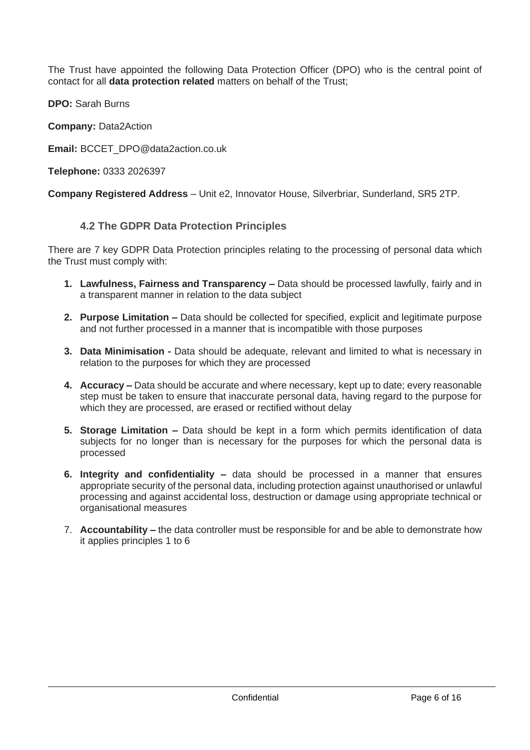The Trust have appointed the following Data Protection Officer (DPO) who is the central point of contact for all **data protection related** matters on behalf of the Trust;

**DPO:** Sarah Burns

**Company:** Data2Action

**Email:** BCCET\_DPO@data2action.co.uk

**Telephone:** 0333 2026397

<span id="page-5-0"></span>**Company Registered Address** – Unit e2, Innovator House, Silverbriar, Sunderland, SR5 2TP.

#### **4.2 The GDPR Data Protection Principles**

There are 7 key GDPR Data Protection principles relating to the processing of personal data which the Trust must comply with:

- **1. Lawfulness, Fairness and Transparency –** Data should be processed lawfully, fairly and in a transparent manner in relation to the data subject
- **2. Purpose Limitation –** Data should be collected for specified, explicit and legitimate purpose and not further processed in a manner that is incompatible with those purposes
- **3. Data Minimisation -** Data should be adequate, relevant and limited to what is necessary in relation to the purposes for which they are processed
- **4. Accuracy –** Data should be accurate and where necessary, kept up to date; every reasonable step must be taken to ensure that inaccurate personal data, having regard to the purpose for which they are processed, are erased or rectified without delay
- **5. Storage Limitation –** Data should be kept in a form which permits identification of data subjects for no longer than is necessary for the purposes for which the personal data is processed
- **6. Integrity and confidentiality –** data should be processed in a manner that ensures appropriate security of the personal data, including protection against unauthorised or unlawful processing and against accidental loss, destruction or damage using appropriate technical or organisational measures
- 7. **Accountability –** the data controller must be responsible for and be able to demonstrate how it applies principles 1 to 6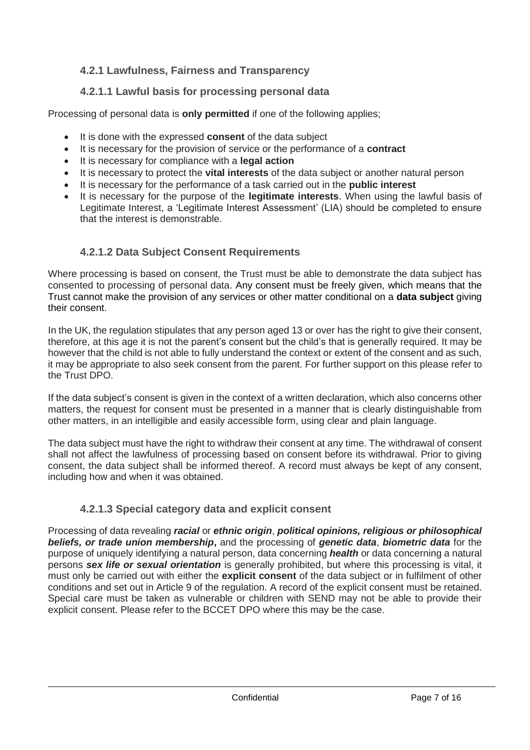# <span id="page-6-0"></span>**4.2.1 Lawfulness, Fairness and Transparency**

# **4.2.1.1 Lawful basis for processing personal data**

<span id="page-6-1"></span>Processing of personal data is **only permitted** if one of the following applies;

- It is done with the expressed **consent** of the data subject
- It is necessary for the provision of service or the performance of a **contract**
- It is necessary for compliance with a **legal action**
- It is necessary to protect the **vital interests** of the data subject or another natural person
- It is necessary for the performance of a task carried out in the **public interest**
- It is necessary for the purpose of the **legitimate interests**. When using the lawful basis of Legitimate Interest, a 'Legitimate Interest Assessment' (LIA) should be completed to ensure that the interest is demonstrable.

# **4.2.1.2 Data Subject Consent Requirements**

<span id="page-6-2"></span>Where processing is based on consent, the Trust must be able to demonstrate the data subject has consented to processing of personal data. Any consent must be freely given, which means that the Trust cannot make the provision of any services or other matter conditional on a **data subject** giving their consent.

In the UK, the regulation stipulates that any person aged 13 or over has the right to give their consent, therefore, at this age it is not the parent's consent but the child's that is generally required. It may be however that the child is not able to fully understand the context or extent of the consent and as such, it may be appropriate to also seek consent from the parent. For further support on this please refer to the Trust DPO.

If the data subject's consent is given in the context of a written declaration, which also concerns other matters, the request for consent must be presented in a manner that is clearly distinguishable from other matters, in an intelligible and easily accessible form, using clear and plain language.

The data subject must have the right to withdraw their consent at any time. The withdrawal of consent shall not affect the lawfulness of processing based on consent before its withdrawal. Prior to giving consent, the data subject shall be informed thereof. A record must always be kept of any consent, including how and when it was obtained.

# **4.2.1.3 Special category data and explicit consent**

<span id="page-6-3"></span>Processing of data revealing *racial* or *ethnic origin*, *political opinions, religious or philosophical beliefs, or trade union membership***,** and the processing of *genetic data*, *biometric data* for the purpose of uniquely identifying a natural person, data concerning *health* or data concerning a natural persons *sex life or sexual orientation* is generally prohibited, but where this processing is vital, it must only be carried out with either the **explicit consent** of the data subject or in fulfilment of other conditions and set out in Article 9 of the regulation. A record of the explicit consent must be retained. Special care must be taken as vulnerable or children with SEND may not be able to provide their explicit consent. Please refer to the BCCET DPO where this may be the case.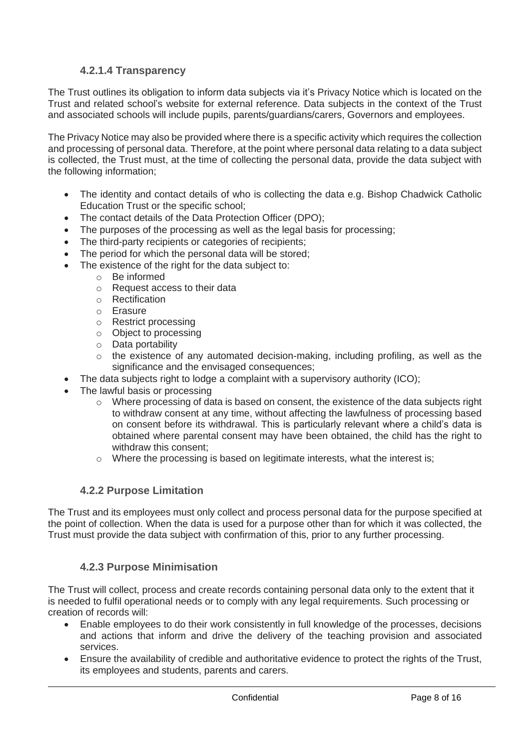# **4.2.1.4 Transparency**

<span id="page-7-0"></span>The Trust outlines its obligation to inform data subjects via it's Privacy Notice which is located on the Trust and related school's website for external reference. Data subjects in the context of the Trust and associated schools will include pupils, parents/guardians/carers, Governors and employees.

The Privacy Notice may also be provided where there is a specific activity which requires the collection and processing of personal data. Therefore, at the point where personal data relating to a data subject is collected, the Trust must, at the time of collecting the personal data, provide the data subject with the following information;

- The identity and contact details of who is collecting the data e.g. Bishop Chadwick Catholic Education Trust or the specific school;
- The contact details of the Data Protection Officer (DPO);
- The purposes of the processing as well as the legal basis for processing;
- The third-party recipients or categories of recipients;
- The period for which the personal data will be stored;
- The existence of the right for the data subject to:
	- o Be informed
	- o Request access to their data
	- o Rectification
	- o Erasure
	- o Restrict processing
	- o Object to processing
	- o Data portability
	- o the existence of any automated decision-making, including profiling, as well as the significance and the envisaged consequences;
- The data subjects right to lodge a complaint with a supervisory authority (ICO);
- The lawful basis or processing
	- $\circ$  Where processing of data is based on consent, the existence of the data subjects right to withdraw consent at any time, without affecting the lawfulness of processing based on consent before its withdrawal. This is particularly relevant where a child's data is obtained where parental consent may have been obtained, the child has the right to withdraw this consent;
	- o Where the processing is based on legitimate interests, what the interest is;

### **4.2.2 Purpose Limitation**

<span id="page-7-1"></span>The Trust and its employees must only collect and process personal data for the purpose specified at the point of collection. When the data is used for a purpose other than for which it was collected, the Trust must provide the data subject with confirmation of this, prior to any further processing.

### **4.2.3 Purpose Minimisation**

<span id="page-7-2"></span>The Trust will collect, process and create records containing personal data only to the extent that it is needed to fulfil operational needs or to comply with any legal requirements. Such processing or creation of records will:

- Enable employees to do their work consistently in full knowledge of the processes, decisions and actions that inform and drive the delivery of the teaching provision and associated services.
- Ensure the availability of credible and authoritative evidence to protect the rights of the Trust, its employees and students, parents and carers.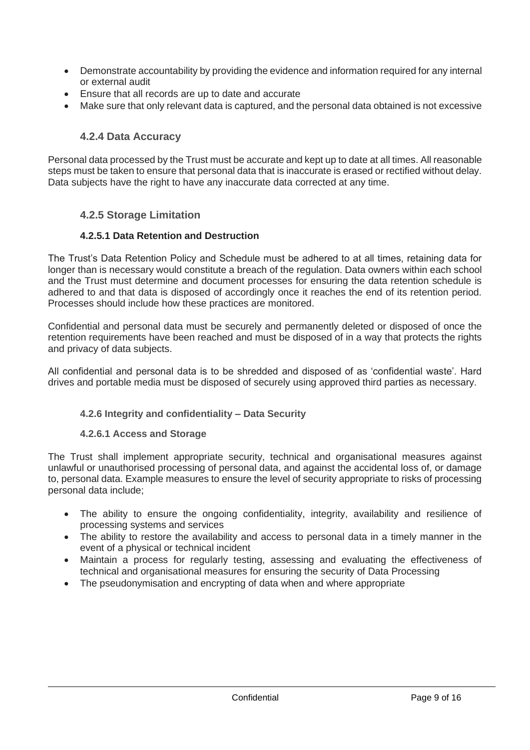- Demonstrate accountability by providing the evidence and information required for any internal or external audit
- Ensure that all records are up to date and accurate
- <span id="page-8-0"></span>• Make sure that only relevant data is captured, and the personal data obtained is not excessive

### **4.2.4 Data Accuracy**

Personal data processed by the Trust must be accurate and kept up to date at all times. All reasonable steps must be taken to ensure that personal data that is inaccurate is erased or rectified without delay. Data subjects have the right to have any inaccurate data corrected at any time.

#### <span id="page-8-1"></span>**4.2.5 Storage Limitation**

#### **4.2.5.1 Data Retention and Destruction**

<span id="page-8-2"></span>The Trust's Data Retention Policy and Schedule must be adhered to at all times, retaining data for longer than is necessary would constitute a breach of the regulation. Data owners within each school and the Trust must determine and document processes for ensuring the data retention schedule is adhered to and that data is disposed of accordingly once it reaches the end of its retention period. Processes should include how these practices are monitored.

Confidential and personal data must be securely and permanently deleted or disposed of once the retention requirements have been reached and must be disposed of in a way that protects the rights and privacy of data subjects.

<span id="page-8-3"></span>All confidential and personal data is to be shredded and disposed of as 'confidential waste'. Hard drives and portable media must be disposed of securely using approved third parties as necessary.

#### **4.2.6 Integrity and confidentiality – Data Security**

#### **4.2.6.1 Access and Storage**

<span id="page-8-4"></span>The Trust shall implement appropriate security, technical and organisational measures against unlawful or unauthorised processing of personal data, and against the accidental loss of, or damage to, personal data. Example measures to ensure the level of security appropriate to risks of processing personal data include;

- The ability to ensure the ongoing confidentiality, integrity, availability and resilience of processing systems and services
- The ability to restore the availability and access to personal data in a timely manner in the event of a physical or technical incident
- Maintain a process for regularly testing, assessing and evaluating the effectiveness of technical and organisational measures for ensuring the security of Data Processing
- The pseudonymisation and encrypting of data when and where appropriate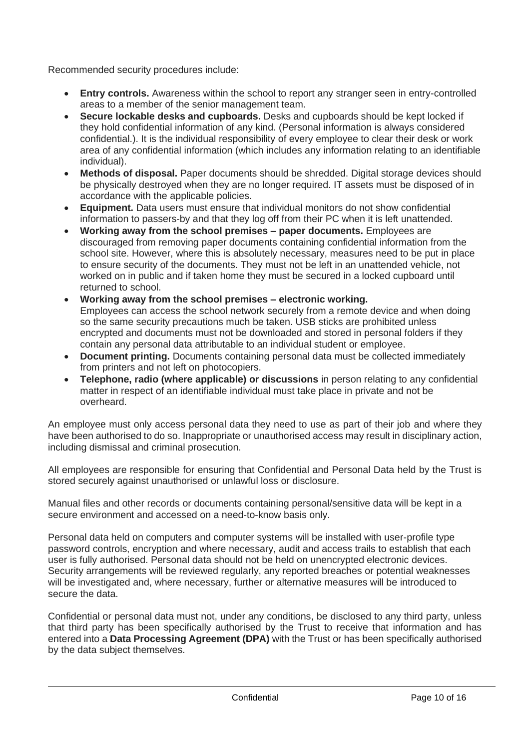Recommended security procedures include:

- **Entry controls.** Awareness within the school to report any stranger seen in entry-controlled areas to a member of the senior management team.
- **Secure lockable desks and cupboards.** Desks and cupboards should be kept locked if they hold confidential information of any kind. (Personal information is always considered confidential.). It is the individual responsibility of every employee to clear their desk or work area of any confidential information (which includes any information relating to an identifiable individual).
- **Methods of disposal.** Paper documents should be shredded. Digital storage devices should be physically destroyed when they are no longer required. IT assets must be disposed of in accordance with the applicable policies.
- **Equipment.** Data users must ensure that individual monitors do not show confidential information to passers-by and that they log off from their PC when it is left unattended.
- **Working away from the school premises – paper documents.** Employees are discouraged from removing paper documents containing confidential information from the school site. However, where this is absolutely necessary, measures need to be put in place to ensure security of the documents. They must not be left in an unattended vehicle, not worked on in public and if taken home they must be secured in a locked cupboard until returned to school.
- **Working away from the school premises – electronic working.**  Employees can access the school network securely from a remote device and when doing so the same security precautions much be taken. USB sticks are prohibited unless encrypted and documents must not be downloaded and stored in personal folders if they contain any personal data attributable to an individual student or employee.
- **Document printing.** Documents containing personal data must be collected immediately from printers and not left on photocopiers.
- **Telephone, radio (where applicable) or discussions** in person relating to any confidential matter in respect of an identifiable individual must take place in private and not be overheard.

An employee must only access personal data they need to use as part of their job and where they have been authorised to do so. Inappropriate or unauthorised access may result in disciplinary action, including dismissal and criminal prosecution.

All employees are responsible for ensuring that Confidential and Personal Data held by the Trust is stored securely against unauthorised or unlawful loss or disclosure.

Manual files and other records or documents containing personal/sensitive data will be kept in a secure environment and accessed on a need-to-know basis only.

Personal data held on computers and computer systems will be installed with user-profile type password controls, encryption and where necessary, audit and access trails to establish that each user is fully authorised. Personal data should not be held on unencrypted electronic devices. Security arrangements will be reviewed regularly, any reported breaches or potential weaknesses will be investigated and, where necessary, further or alternative measures will be introduced to secure the data.

Confidential or personal data must not, under any conditions, be disclosed to any third party, unless that third party has been specifically authorised by the Trust to receive that information and has entered into a **Data Processing Agreement (DPA)** with the Trust or has been specifically authorised by the data subject themselves.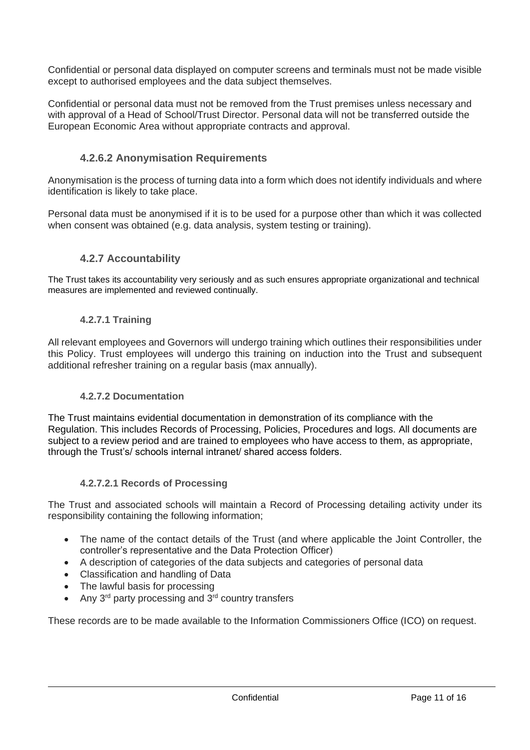Confidential or personal data displayed on computer screens and terminals must not be made visible except to authorised employees and the data subject themselves.

Confidential or personal data must not be removed from the Trust premises unless necessary and with approval of a Head of School/Trust Director. Personal data will not be transferred outside the European Economic Area without appropriate contracts and approval.

# **4.2.6.2 Anonymisation Requirements**

<span id="page-10-0"></span>Anonymisation is the process of turning data into a form which does not identify individuals and where identification is likely to take place.

Personal data must be anonymised if it is to be used for a purpose other than which it was collected when consent was obtained (e.g. data analysis, system testing or training).

### **4.2.7 Accountability**

<span id="page-10-2"></span><span id="page-10-1"></span>The Trust takes its accountability very seriously and as such ensures appropriate organizational and technical measures are implemented and reviewed continually.

#### **4.2.7.1 Training**

All relevant employees and Governors will undergo training which outlines their responsibilities under this Policy. Trust employees will undergo this training on induction into the Trust and subsequent additional refresher training on a regular basis (max annually).

#### **4.2.7.2 Documentation**

<span id="page-10-3"></span>The Trust maintains evidential documentation in demonstration of its compliance with the Regulation. This includes Records of Processing, Policies, Procedures and logs. All documents are subject to a review period and are trained to employees who have access to them, as appropriate, through the Trust's/ schools internal intranet/ shared access folders.

#### **4.2.7.2.1 Records of Processing**

<span id="page-10-4"></span>The Trust and associated schools will maintain a Record of Processing detailing activity under its responsibility containing the following information;

- The name of the contact details of the Trust (and where applicable the Joint Controller, the controller's representative and the Data Protection Officer)
- A description of categories of the data subjects and categories of personal data
- Classification and handling of Data
- The lawful basis for processing
- Any  $3^{rd}$  party processing and  $3^{rd}$  country transfers

These records are to be made available to the Information Commissioners Office (ICO) on request.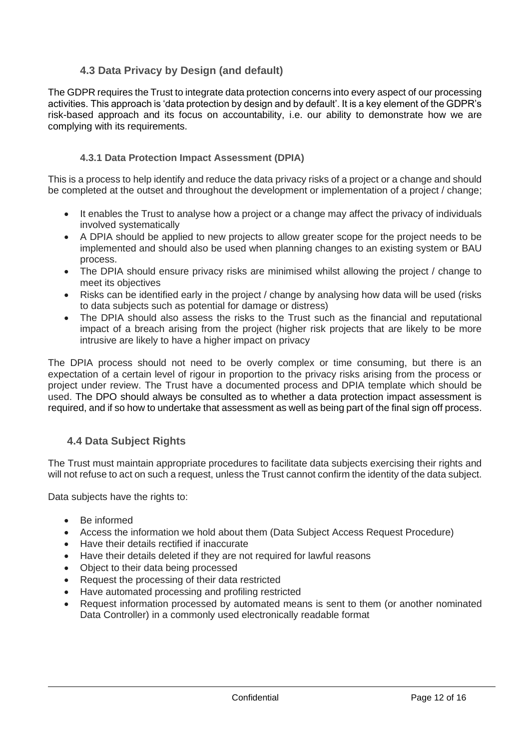# **4.3 Data Privacy by Design (and default)**

<span id="page-11-0"></span>The GDPR requires the Trust to integrate data protection concerns into every aspect of our processing activities. This approach is 'data protection by design and by default'. It is a key element of the GDPR's risk-based approach and its focus on accountability, i.e. our ability to demonstrate how we are complying with its requirements.

### **4.3.1 Data Protection Impact Assessment (DPIA)**

<span id="page-11-1"></span>This is a process to help identify and reduce the data privacy risks of a project or a change and should be completed at the outset and throughout the development or implementation of a project / change;

- It enables the Trust to analyse how a project or a change may affect the privacy of individuals involved systematically
- A DPIA should be applied to new projects to allow greater scope for the project needs to be implemented and should also be used when planning changes to an existing system or BAU process.
- The DPIA should ensure privacy risks are minimised whilst allowing the project / change to meet its objectives
- Risks can be identified early in the project / change by analysing how data will be used (risks) to data subjects such as potential for damage or distress)
- The DPIA should also assess the risks to the Trust such as the financial and reputational impact of a breach arising from the project (higher risk projects that are likely to be more intrusive are likely to have a higher impact on privacy

The DPIA process should not need to be overly complex or time consuming, but there is an expectation of a certain level of rigour in proportion to the privacy risks arising from the process or project under review. The Trust have a documented process and DPIA template which should be used. The DPO should always be consulted as to whether a data protection impact assessment is required, and if so how to undertake that assessment as well as being part of the final sign off process.

# <span id="page-11-2"></span>**4.4 Data Subject Rights**

The Trust must maintain appropriate procedures to facilitate data subjects exercising their rights and will not refuse to act on such a request, unless the Trust cannot confirm the identity of the data subject.

Data subjects have the rights to:

- Be informed
- Access the information we hold about them (Data Subject Access Request Procedure)
- Have their details rectified if inaccurate
- Have their details deleted if they are not required for lawful reasons
- Object to their data being processed
- Request the processing of their data restricted
- Have automated processing and profiling restricted
- Request information processed by automated means is sent to them (or another nominated Data Controller) in a commonly used electronically readable format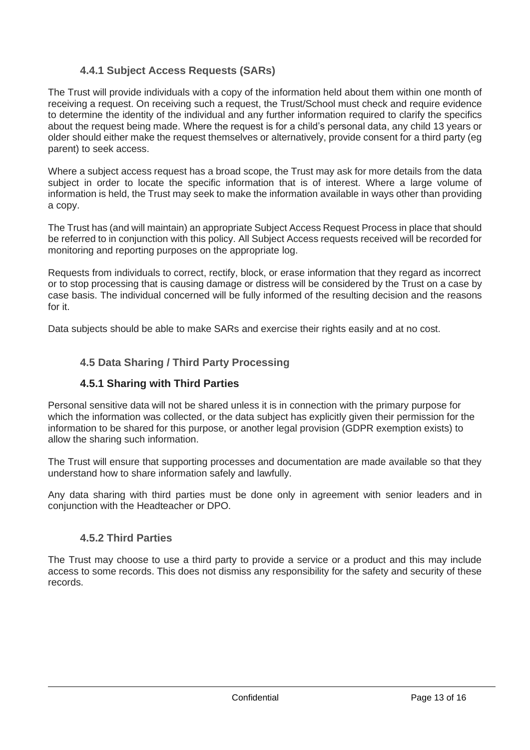# **4.4.1 Subject Access Requests (SARs)**

<span id="page-12-0"></span>The Trust will provide individuals with a copy of the information held about them within one month of receiving a request. On receiving such a request, the Trust/School must check and require evidence to determine the identity of the individual and any further information required to clarify the specifics about the request being made. Where the request is for a child's personal data, any child 13 years or older should either make the request themselves or alternatively, provide consent for a third party (eg parent) to seek access.

Where a subject access request has a broad scope, the Trust may ask for more details from the data subject in order to locate the specific information that is of interest. Where a large volume of information is held, the Trust may seek to make the information available in ways other than providing a copy.

The Trust has (and will maintain) an appropriate Subject Access Request Process in place that should be referred to in conjunction with this policy. All Subject Access requests received will be recorded for monitoring and reporting purposes on the appropriate log.

Requests from individuals to correct, rectify, block, or erase information that they regard as incorrect or to stop processing that is causing damage or distress will be considered by the Trust on a case by case basis. The individual concerned will be fully informed of the resulting decision and the reasons for it.

<span id="page-12-1"></span>Data subjects should be able to make SARs and exercise their rights easily and at no cost.

# **4.5 Data Sharing / Third Party Processing**

# **4.5.1 Sharing with Third Parties**

<span id="page-12-2"></span>Personal sensitive data will not be shared unless it is in connection with the primary purpose for which the information was collected, or the data subject has explicitly given their permission for the information to be shared for this purpose, or another legal provision (GDPR exemption exists) to allow the sharing such information.

The Trust will ensure that supporting processes and documentation are made available so that they understand how to share information safely and lawfully.

Any data sharing with third parties must be done only in agreement with senior leaders and in conjunction with the Headteacher or DPO.

### **4.5.2 Third Parties**

<span id="page-12-3"></span>The Trust may choose to use a third party to provide a service or a product and this may include access to some records. This does not dismiss any responsibility for the safety and security of these records.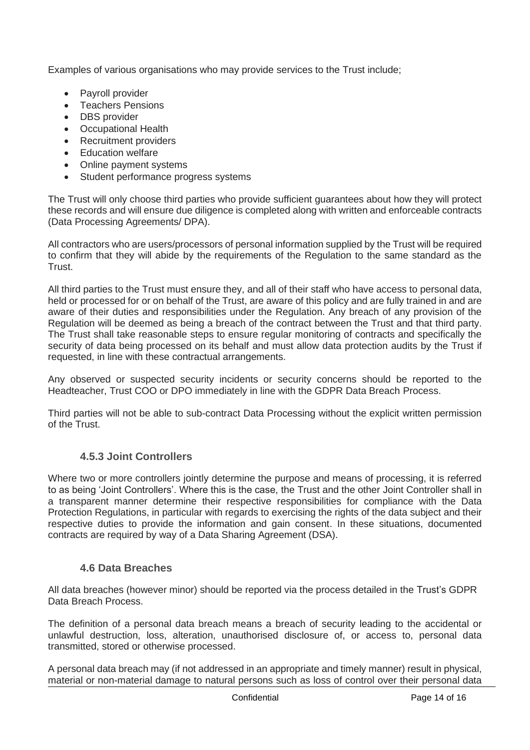Examples of various organisations who may provide services to the Trust include;

- Payroll provider
- Teachers Pensions
- DBS provider
- Occupational Health
- Recruitment providers
- Education welfare
- Online payment systems
- Student performance progress systems

The Trust will only choose third parties who provide sufficient guarantees about how they will protect these records and will ensure due diligence is completed along with written and enforceable contracts (Data Processing Agreements/ DPA).

All contractors who are users/processors of personal information supplied by the Trust will be required to confirm that they will abide by the requirements of the Regulation to the same standard as the Trust.

All third parties to the Trust must ensure they, and all of their staff who have access to personal data, held or processed for or on behalf of the Trust, are aware of this policy and are fully trained in and are aware of their duties and responsibilities under the Regulation. Any breach of any provision of the Regulation will be deemed as being a breach of the contract between the Trust and that third party. The Trust shall take reasonable steps to ensure regular monitoring of contracts and specifically the security of data being processed on its behalf and must allow data protection audits by the Trust if requested, in line with these contractual arrangements.

Any observed or suspected security incidents or security concerns should be reported to the Headteacher, Trust COO or DPO immediately in line with the GDPR Data Breach Process.

Third parties will not be able to sub-contract Data Processing without the explicit written permission of the Trust.

### **4.5.3 Joint Controllers**

<span id="page-13-0"></span>Where two or more controllers jointly determine the purpose and means of processing, it is referred to as being 'Joint Controllers'. Where this is the case, the Trust and the other Joint Controller shall in a transparent manner determine their respective responsibilities for compliance with the Data Protection Regulations, in particular with regards to exercising the rights of the data subject and their respective duties to provide the information and gain consent. In these situations, documented contracts are required by way of a Data Sharing Agreement (DSA).

### <span id="page-13-1"></span>**4.6 Data Breaches**

All data breaches (however minor) should be reported via the process detailed in the Trust's GDPR Data Breach Process.

The definition of a personal data breach means a breach of security leading to the accidental or unlawful destruction, loss, alteration, unauthorised disclosure of, or access to, personal data transmitted, stored or otherwise processed.

A personal data breach may (if not addressed in an appropriate and timely manner) result in physical, material or non-material damage to natural persons such as loss of control over their personal data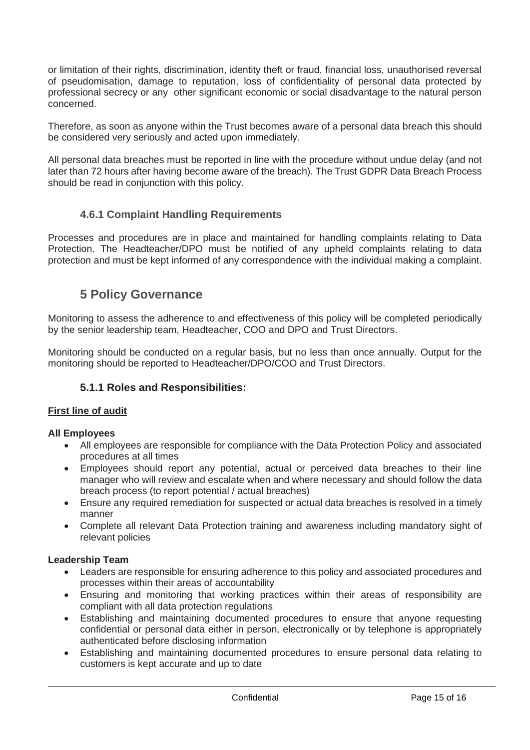or limitation of their rights, discrimination, identity theft or fraud, financial loss, unauthorised reversal of pseudomisation, damage to reputation, loss of confidentiality of personal data protected by professional secrecy or any other significant economic or social disadvantage to the natural person concerned.

Therefore, as soon as anyone within the Trust becomes aware of a personal data breach this should be considered very seriously and acted upon immediately.

All personal data breaches must be reported in line with the procedure without undue delay (and not later than 72 hours after having become aware of the breach). The Trust GDPR Data Breach Process should be read in conjunction with this policy.

# **4.6.1 Complaint Handling Requirements**

<span id="page-14-1"></span><span id="page-14-0"></span>Processes and procedures are in place and maintained for handling complaints relating to Data Protection. The Headteacher/DPO must be notified of any upheld complaints relating to data protection and must be kept informed of any correspondence with the individual making a complaint.

# **5 Policy Governance**

Monitoring to assess the adherence to and effectiveness of this policy will be completed periodically by the senior leadership team, Headteacher, COO and DPO and Trust Directors.

Monitoring should be conducted on a regular basis, but no less than once annually. Output for the monitoring should be reported to Headteacher/DPO/COO and Trust Directors.

# **5.1.1 Roles and Responsibilities:**

#### **First line of audit**

#### **All Employees**

- All employees are responsible for compliance with the Data Protection Policy and associated procedures at all times
- Employees should report any potential, actual or perceived data breaches to their line manager who will review and escalate when and where necessary and should follow the data breach process (to report potential / actual breaches)
- Ensure any required remediation for suspected or actual data breaches is resolved in a timely manner
- Complete all relevant Data Protection training and awareness including mandatory sight of relevant policies

#### **Leadership Team**

- Leaders are responsible for ensuring adherence to this policy and associated procedures and processes within their areas of accountability
- Ensuring and monitoring that working practices within their areas of responsibility are compliant with all data protection regulations
- Establishing and maintaining documented procedures to ensure that anyone requesting confidential or personal data either in person, electronically or by telephone is appropriately authenticated before disclosing information
- Establishing and maintaining documented procedures to ensure personal data relating to customers is kept accurate and up to date